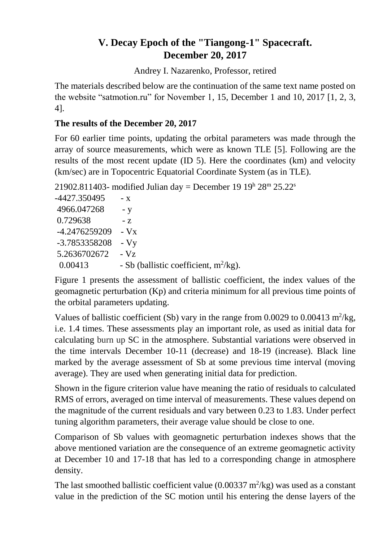# **V. Decay Epoch of the "Tiangong-1" Spacecraft. December 20, 2017**

Andrey I. Nazarenko, Professor, retired

The materials described below are the continuation of the same text name posted on the website "satmotion.ru" for November 1, 15, December 1 and 10, 2017 [1, 2, 3, 4].

## **The results of the December 20, 2017**

For 60 earlier time points, updating the orbital parameters was made through the array of source measurements, which were as known TLE [5]. Following are the results of the most recent update (ID 5). Here the coordinates (km) and velocity (km/sec) are in Topocentric Equatorial Coordinate System (as in TLE).

21902.811403- modified Julian day = December 19  $19^{h} 28^{m} 25.22^{s}$ 

 $-4427.350495 - x$  $4966.047268 - v$  $0.729638 - z$ -4.2476259209 - Vx -3.7853358208 - Vy 5.2636702672 - Vz  $0.00413$  - Sb (ballistic coefficient,  $m^2/kg$ ).

Figure 1 presents the assessment of ballistic coefficient, the index values of the geomagnetic perturbation (Kp) and criteria minimum for all previous time points of the orbital parameters updating.

Values of ballistic coefficient (Sb) vary in the range from  $0.0029$  to  $0.00413$  m<sup>2</sup>/kg, i.e. 1.4 times. These assessments play an important role, as used as initial data for calculating burn up SC in the atmosphere. Substantial variations were observed in the time intervals December 10-11 (decrease) and 18-19 (increase). Black line marked by the average assessment of Sb at some previous time interval (moving average). They are used when generating initial data for prediction.

Shown in the figure criterion value have meaning the ratio of residuals to calculated RMS of errors, averaged on time interval of measurements. These values depend on the magnitude of the current residuals and vary between 0.23 to 1.83. Under perfect tuning algorithm parameters, their average value should be close to one.

Comparison of Sb values with geomagnetic perturbation indexes shows that the above mentioned variation are the consequence of an extreme geomagnetic activity at December 10 and 17-18 that has led to a corresponding change in atmosphere density.

The last smoothed ballistic coefficient value  $(0.00337 \text{ m}^2/\text{kg})$  was used as a constant value in the prediction of the SC motion until his entering the dense layers of the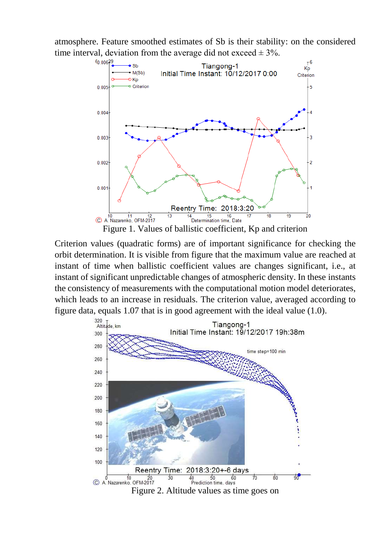atmosphere. Feature smoothed estimates of Sb is their stability: on the considered time interval, deviation from the average did not exceed  $\pm$  3%.



Criterion values (quadratic forms) are of important significance for checking the orbit determination. It is visible from figure that the maximum value are reached at instant of time when ballistic coefficient values are changes significant, i.e., at instant of significant unpredictable changes of atmospheric density. In these instants the consistency of measurements with the computational motion model deteriorates, which leads to an increase in residuals. The criterion value, averaged according to figure data, equals 1.07 that is in good agreement with the ideal value (1.0).

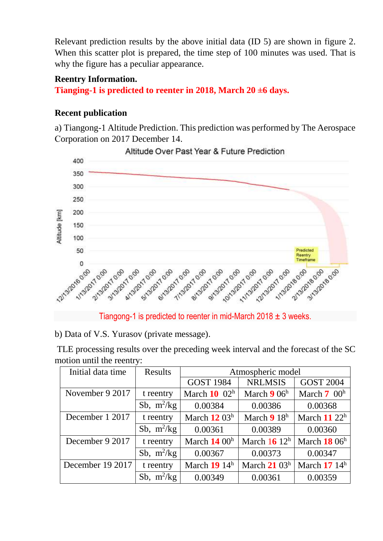Relevant prediction results by the above initial data (ID 5) are shown in figure 2. When this scatter plot is prepared, the time step of 100 minutes was used. That is why the figure has a peculiar appearance.

#### **Reentry Information.**

**Tianging-1 is predicted to reenter in 2018, March 20 ±6 days.**

### **Recent publication**

a) Tiangong-1 Altitude Prediction. This prediction was performed by The Aerospace Сorporation on 2017 December 14.



Tiangong-1 is predicted to reenter in mid-March  $2018 \pm 3$  weeks.

b) Data of V.S. Yurasov (private message).

TLE processing results over the preceding week interval and the forecast of the SC motion until the reentry:

| Initial data time | Results      | Atmospheric model |                    |                    |
|-------------------|--------------|-------------------|--------------------|--------------------|
|                   |              | <b>GOST 1984</b>  | <b>NRLMSIS</b>     | <b>GOST 2004</b>   |
| November 9 2017   | t reentry    | March $10^{10}$   | March $906h$       | March $7\ 00^h$    |
|                   | Sb, $m^2/kg$ | 0.00384           | 0.00386            | 0.00368            |
| December 1 2017   | t reentry    | March $12\ 03^h$  | March $918h$       | March $11\ 22^h$   |
|                   | Sb, $m^2/kg$ | 0.00361           | 0.00389            | 0.00360            |
| December 9 2017   | t reentry    | March $1400h$     | March $16 \, 12^h$ | March $1806h$      |
|                   | Sb, $m^2/kg$ | 0.00367           | 0.00373            | 0.00347            |
| December 19 2017  | t reentry    | March $1914h$     | March $2103h$      | March $17 \; 14^h$ |
|                   | Sb, $m^2/kg$ | 0.00349           | 0.00361            | 0.00359            |